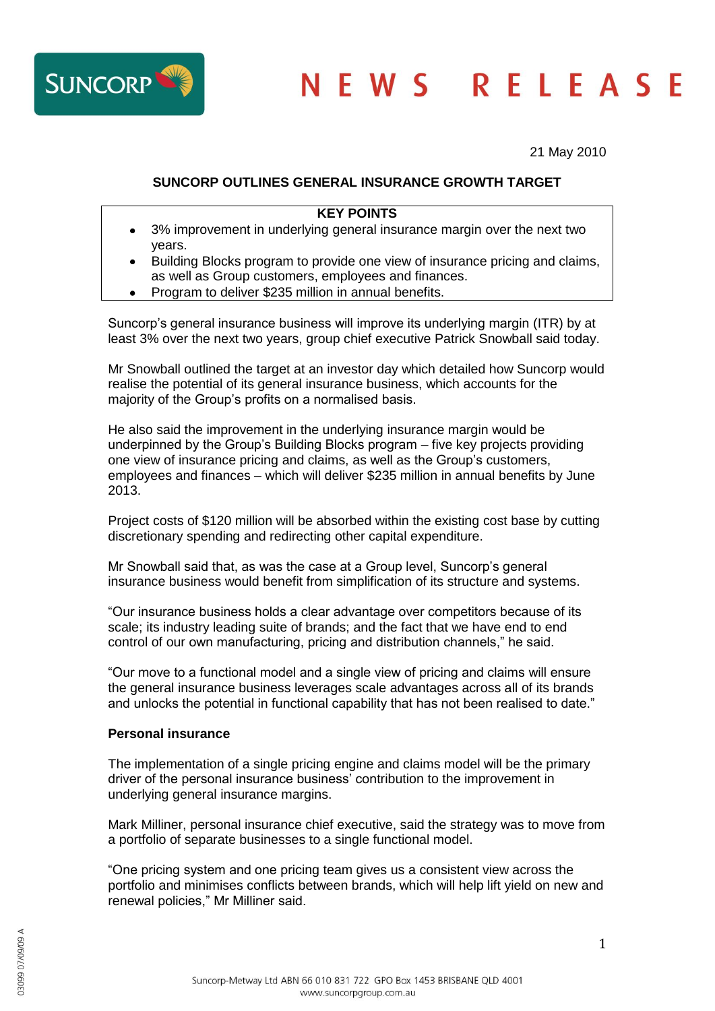

21 May 2010

## **SUNCORP OUTLINES GENERAL INSURANCE GROWTH TARGET**

# **KEY POINTS**

- 3% improvement in underlying general insurance margin over the next two  $\bullet$ years.
- Building Blocks program to provide one view of insurance pricing and claims, as well as Group customers, employees and finances.
- Program to deliver \$235 million in annual benefits.

Suncorp"s general insurance business will improve its underlying margin (ITR) by at least 3% over the next two years, group chief executive Patrick Snowball said today.

Mr Snowball outlined the target at an investor day which detailed how Suncorp would realise the potential of its general insurance business, which accounts for the majority of the Group"s profits on a normalised basis.

He also said the improvement in the underlying insurance margin would be underpinned by the Group"s Building Blocks program – five key projects providing one view of insurance pricing and claims, as well as the Group"s customers, employees and finances – which will deliver \$235 million in annual benefits by June 2013.

Project costs of \$120 million will be absorbed within the existing cost base by cutting discretionary spending and redirecting other capital expenditure.

Mr Snowball said that, as was the case at a Group level, Suncorp"s general insurance business would benefit from simplification of its structure and systems.

"Our insurance business holds a clear advantage over competitors because of its scale; its industry leading suite of brands; and the fact that we have end to end control of our own manufacturing, pricing and distribution channels," he said.

"Our move to a functional model and a single view of pricing and claims will ensure the general insurance business leverages scale advantages across all of its brands and unlocks the potential in functional capability that has not been realised to date."

## **Personal insurance**

The implementation of a single pricing engine and claims model will be the primary driver of the personal insurance business' contribution to the improvement in underlying general insurance margins.

Mark Milliner, personal insurance chief executive, said the strategy was to move from a portfolio of separate businesses to a single functional model.

"One pricing system and one pricing team gives us a consistent view across the portfolio and minimises conflicts between brands, which will help lift yield on new and renewal policies," Mr Milliner said.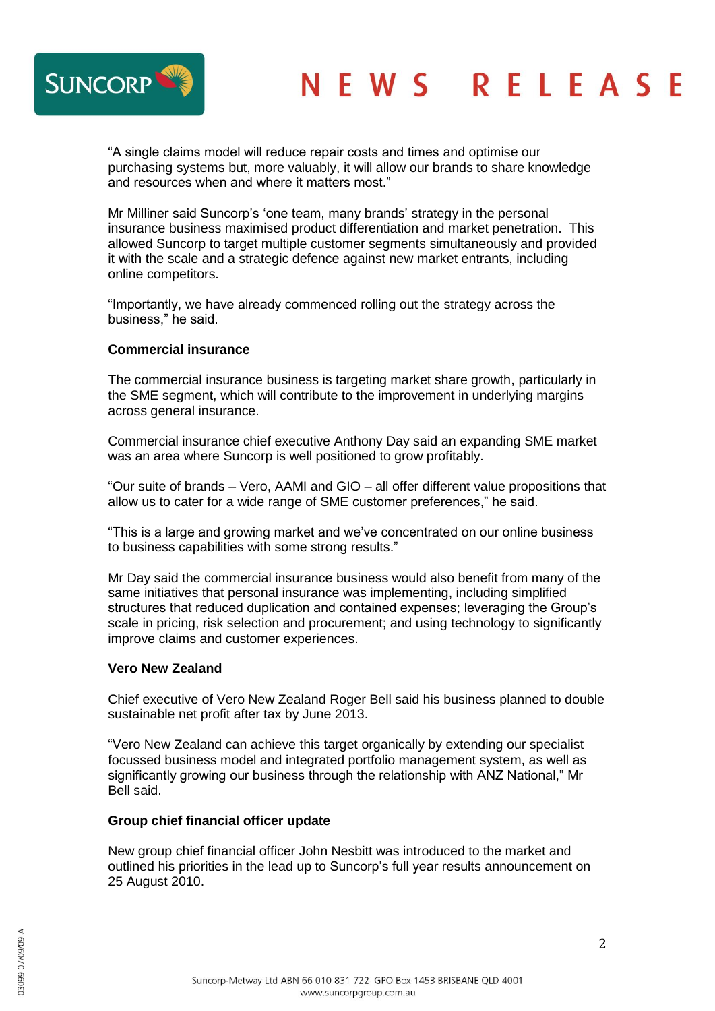



"A single claims model will reduce repair costs and times and optimise our purchasing systems but, more valuably, it will allow our brands to share knowledge and resources when and where it matters most."

Mr Milliner said Suncorp's 'one team, many brands' strategy in the personal insurance business maximised product differentiation and market penetration. This allowed Suncorp to target multiple customer segments simultaneously and provided it with the scale and a strategic defence against new market entrants, including online competitors.

"Importantly, we have already commenced rolling out the strategy across the business," he said.

#### **Commercial insurance**

The commercial insurance business is targeting market share growth, particularly in the SME segment, which will contribute to the improvement in underlying margins across general insurance.

Commercial insurance chief executive Anthony Day said an expanding SME market was an area where Suncorp is well positioned to grow profitably.

"Our suite of brands – Vero, AAMI and GIO – all offer different value propositions that allow us to cater for a wide range of SME customer preferences," he said.

"This is a large and growing market and we"ve concentrated on our online business to business capabilities with some strong results."

Mr Day said the commercial insurance business would also benefit from many of the same initiatives that personal insurance was implementing, including simplified structures that reduced duplication and contained expenses; leveraging the Group"s scale in pricing, risk selection and procurement; and using technology to significantly improve claims and customer experiences.

## **Vero New Zealand**

Chief executive of Vero New Zealand Roger Bell said his business planned to double sustainable net profit after tax by June 2013.

"Vero New Zealand can achieve this target organically by extending our specialist focussed business model and integrated portfolio management system, as well as significantly growing our business through the relationship with ANZ National," Mr Bell said.

## **Group chief financial officer update**

New group chief financial officer John Nesbitt was introduced to the market and outlined his priorities in the lead up to Suncorp"s full year results announcement on 25 August 2010.